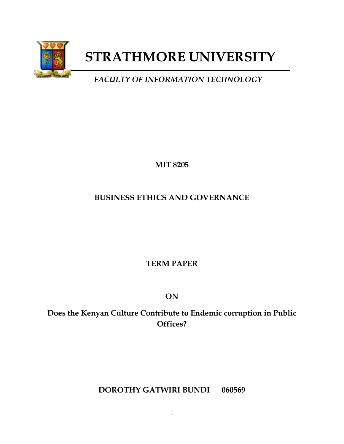

# **STRATHMORE UNIVERSITY**

## *FACULTY OF INFORMATION TECHNOLOGY*

**MIT 8205**

### **BUSINESS ETHICS AND GOVERNANCE**

### **TERM PAPER**

**ON**

**Does the Kenyan Culture Contribute to Endemic corruption in Public Offices?**

### **DOROTHY GATWIRI BUNDI 060569**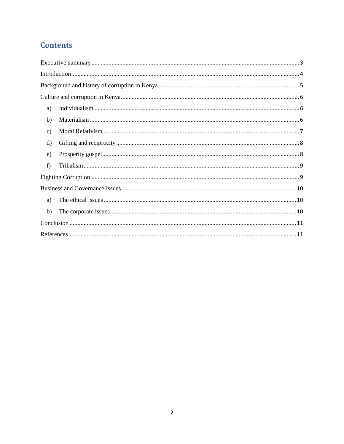### **Contents**

| a)            |
|---------------|
| b)            |
| $\mathbf{c})$ |
| $\rm d$       |
| $\epsilon$ )  |
| f)            |
|               |
|               |
| a)            |
| b)            |
|               |
|               |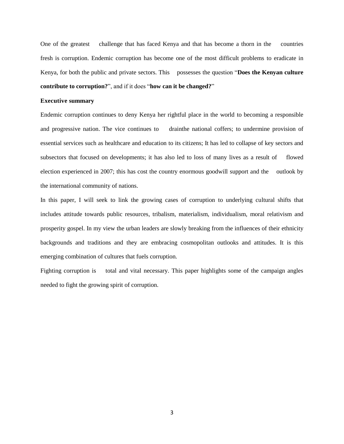One of the greatest challenge that has faced Kenya and that has become a thorn in the countries fresh is corruption. Endemic corruption has become one of the most difficult problems to eradicate in Kenya, for both the public and private sectors. This possesses the question "**Does the Kenyan culture contribute to corruption?**", and if it does "**how can it be changed?**"

#### <span id="page-2-0"></span>**Executive summary**

Endemic corruption continues to deny Kenya her rightful place in the world to becoming a responsible and progressive nation. The vice continues to drainthe national coffers; to undermine provision of essential services such as healthcare and education to its citizens; It has led to collapse of key sectors and subsectors that focused on developments; it has also led to loss of many lives as a result of flowed election experienced in 2007; this has cost the country enormous goodwill support and the outlook by the international community of nations.

In this paper, I will seek to link the growing cases of corruption to underlying cultural shifts that includes attitude towards public resources, tribalism, materialism, individualism, moral relativism and prosperity gospel. In my view the urban leaders are slowly breaking from the influences of their ethnicity backgrounds and traditions and they are embracing cosmopolitan outlooks and attitudes. It is this emerging combination of cultures that fuels corruption.

Fighting corruption is total and vital necessary. This paper highlights some of the campaign angles needed to fight the growing spirit of corruption.

3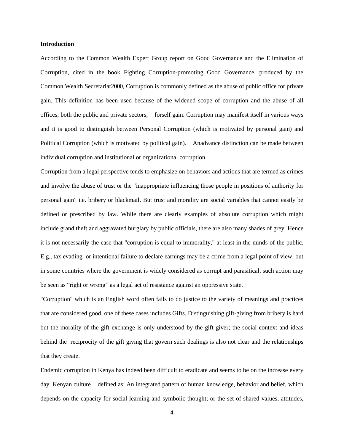#### <span id="page-3-0"></span>**Introduction**

According to the Common Wealth Expert Group report on Good Governance and the Elimination of Corruption, cited in the book Fighting Corruption-promoting Good Governance, produced by the Common Wealth Secretariat2000, Corruption is commonly defined as the abuse of public office for private gain. This definition has been used because of the widened scope of corruption and the abuse of all offices; both the public and private sectors, forself gain. Corruption may manifest itself in various ways and it is good to distinguish between Personal Corruption (which is motivated by personal gain) and Political Corruption (which is motivated by political gain). Anadvance distinction can be made between individual corruption and institutional or organizational corruption.

Corruption from a legal perspective tends to emphasize on behaviors and actions that are termed as crimes and involve the abuse of trust or the "inappropriate influencing those people in positions of authority for personal gain" i.e. bribery or blackmail. But trust and morality are social variables that cannot easily be defined or prescribed by law. While there are clearly examples of absolute corruption which might include grand theft and aggravated burglary by public officials, there are also many shades of grey. Hence it is not necessarily the case that "corruption is equal to immorality," at least in the minds of the public. E.g., tax evading or intentional failure to declare earnings may be a crime from a legal point of view, but in some countries where the government is widely considered as corrupt and parasitical, such action may be seen as "right or wrong" as a legal act of resistance against an oppressive state.

"Corruption" which is an English word often fails to do justice to the variety of meanings and practices that are considered good, one of these cases includes Gifts. Distinguishing gift-giving from bribery is hard but the morality of the gift exchange is only understood by the gift giver; the social context and ideas behind the reciprocity of the gift giving that govern such dealings is also not clear and the relationships that they create.

Endemic corruption in Kenya has indeed been difficult to eradicate and seems to be on the increase every day. Kenyan culture defined as: An integrated pattern of human knowledge, behavior and belief, which depends on the capacity for social learning and symbolic thought; or the set of shared values, attitudes,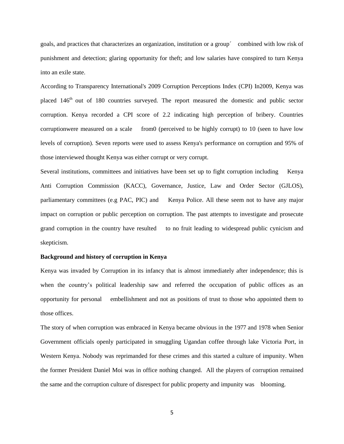goals, and practices that characterizes an organization, institution or a group´ combined with low risk of punishment and detection; glaring opportunity for theft; and low salaries have conspired to turn Kenya into an exile state.

According to Transparency International's 2009 Corruption Perceptions Index (CPI) In2009, Kenya was placed 146<sup>th</sup> out of 180 countries surveyed. The report measured the domestic and public sector corruption. Kenya recorded a CPI score of 2.2 indicating high perception of bribery. Countries corruptionwere measured on a scale from0 (perceived to be highly corrupt) to 10 (seen to have low levels of corruption). Seven reports were used to assess Kenya's performance on corruption and 95% of those interviewed thought Kenya was either corrupt or very corrupt.

Several institutions, committees and initiatives have been set up to fight corruption including Kenya Anti Corruption Commission (KACC), Governance, Justice, Law and Order Sector (GJLOS), parliamentary committees (e.g PAC, PIC) and Kenya Police. All these seem not to have any major impact on corruption or public perception on corruption. The past attempts to investigate and prosecute grand corruption in the country have resulted to no fruit leading to widespread public cynicism and skepticism.

#### <span id="page-4-0"></span>**Background and history of corruption in Kenya**

Kenya was invaded by Corruption in its infancy that is almost immediately after independence; this is when the country's political leadership saw and referred the occupation of public offices as an opportunity for personal embellishment and not as positions of trust to those who appointed them to those offices.

The story of when corruption was embraced in Kenya became obvious in the 1977 and 1978 when Senior Government officials openly participated in smuggling Ugandan coffee through lake Victoria Port, in Western Kenya. Nobody was reprimanded for these crimes and this started a culture of impunity. When the former President Daniel Moi was in office nothing changed. All the players of corruption remained the same and the corruption culture of disrespect for public property and impunity was blooming.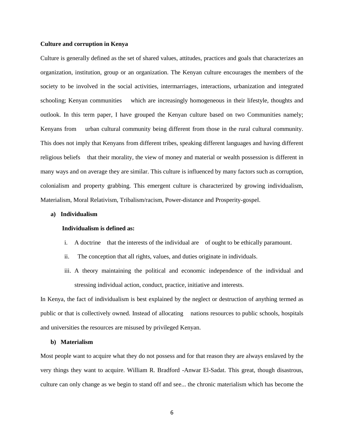#### <span id="page-5-0"></span>**Culture and corruption in Kenya**

Culture is generally defined as the set of shared values, attitudes, practices and goals that characterizes an organization, institution, group or an organization. The Kenyan culture encourages the members of the society to be involved in the social activities, intermarriages, interactions, urbanization and integrated schooling; Kenyan communities which are increasingly homogeneous in their lifestyle, thoughts and outlook. In this term paper, I have grouped the Kenyan culture based on two Communities namely; Kenyans from urban cultural community being different from those in the rural cultural community. This does not imply that Kenyans from different tribes, speaking different languages and having different religious beliefs that their morality, the view of money and material or wealth possession is different in many ways and on average they are similar. This culture is influenced by many factors such as corruption, colonialism and property grabbing. This emergent culture is characterized by growing individualism, Materialism, Moral Relativism, Tribalism/racism, Power-distance and Prosperity-gospel.

#### <span id="page-5-1"></span>**a) Individualism**

#### **Individualism is defined as:**

- i. A doctrine that the interests of the individual are of ought to be ethically paramount.
- ii. The conception that all rights, values, and duties originate in individuals.
- iii. A theory maintaining the political and economic independence of the individual and stressing individual action, conduct, practice, initiative and interests.

In Kenya, the fact of individualism is best explained by the neglect or destruction of anything termed as public or that is collectively owned. Instead of allocating nations resources to public schools, hospitals and universities the resources are misused by privileged Kenyan.

#### <span id="page-5-2"></span>**b) Materialism**

Most people want to acquire what they do not possess and for that reason they are always enslaved by the very things they want to acquire. William R. Bradford -Anwar El-Sadat. This great, though disastrous, culture can only change as we begin to stand off and see... the chronic materialism which has become the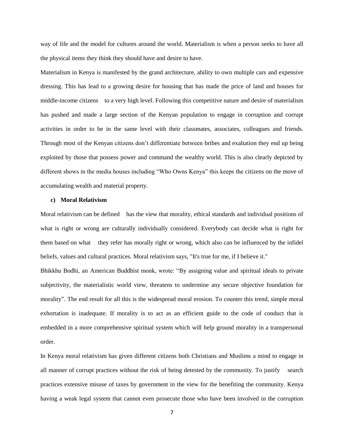way of life and the model for cultures around the world. Materialism is when a person seeks to have all the physical items they think they should have and desire to have.

Materialism in Kenya is manifested by the grand architecture, ability to own multiple cars and expensive dressing. This has lead to a growing desire for housing that has made the price of land and houses for middle-income citizens to a very high level. Following this competitive nature and desire of materialism has pushed and made a large section of the Kenyan population to engage in corruption and corrupt activities in order to be in the same level with their classmates, associates, colleagues and friends. Through most of the Kenyan citizens don't differentiate between bribes and exaltation they end up being exploited by those that possess power and command the wealthy world. This is also clearly depicted by different shows in the media houses including "Who Owns Kenya" this keeps the citizens on the move of accumulating wealth and material property.

#### <span id="page-6-0"></span>**c) Moral Relativism**

Moral relativism can be defined has the view that morality, ethical standards and individual positions of what is right or wrong are culturally individually considered. Everybody can decide what is right for them based on what they refer has morally right or wrong, which also can be influenced by the infidel beliefs, values and cultural practices. Moral relativism says, "It's true for me, if I believe it."

Bhikkhu Bodhi, an American Buddhist monk, wrote: "By assigning value and spiritual ideals to private subjectivity, the materialistic world view, threatens to undermine any secure objective foundation for morality". The end result for all this is the widespread moral erosion. To counter this trend, simple moral exhortation is inadequate. If morality is to act as an efficient guide to the code of conduct that is embedded in a more comprehensive spiritual system which will help ground morality in a transpersonal order.

In Kenya moral relativism has given different citizens both Christians and Muslims a mind to engage in all manner of corrupt practices without the risk of being detested by the community. To justify search practices extensive misuse of taxes by government in the view for the benefiting the community. Kenya having a weak legal system that cannot even prosecute those who have been involved in the corruption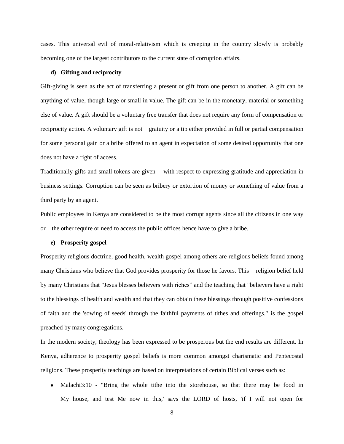cases. This universal evil of moral-relativism which is creeping in the country slowly is probably becoming one of the largest contributors to the current state of corruption affairs.

#### <span id="page-7-0"></span>**d) Gifting and reciprocity**

Gift-giving is seen as the act of transferring a present or gift from one person to another. A gift can be anything of value, though large or small in value. The gift can be in the monetary, material or something else of value. A gift should be a voluntary free transfer that does not require any form of compensation or reciprocity action. A voluntary gift is not gratuity or a tip either provided in full or partial compensation for some personal gain or a bribe offered to an agent in expectation of some desired opportunity that one does not have a right of access.

Traditionally gifts and small tokens are given with respect to expressing gratitude and appreciation in business settings. Corruption can be seen as bribery or extortion of money or something of value from a third party by an agent.

Public employees in Kenya are considered to be the most corrupt agents since all the citizens in one way or the other require or need to access the public offices hence have to give a bribe.

#### <span id="page-7-1"></span>**e) Prosperity gospel**

Prosperity religious doctrine, good health, wealth gospel among others are religious beliefs found among many Christians who believe that God provides prosperity for those he favors. This religion belief held by many Christians that "Jesus blesses believers with riches" and the teaching that "believers have a right to the blessings of health and wealth and that they can obtain these blessings through positive confessions of faith and the 'sowing of seeds' through the faithful payments of tithes and offerings." is the gospel preached by many congregations.

In the modern society, theology has been expressed to be prosperous but the end results are different. In Kenya, adherence to prosperity gospel beliefs is more common amongst charismatic and Pentecostal religions. These prosperity teachings are based on interpretations of certain Biblical verses such as:

• Malachi $3:10$  - "Bring the whole tithe into the storehouse, so that there may be food in My house, and test Me now in this,' says the LORD of hosts, 'if I will not open for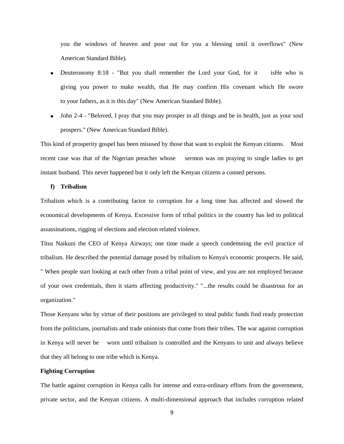you the windows of heaven and pour out for you a blessing until it overflows" (New American Standard Bible).

- Deuteronomy 8:18 "But you shall remember the Lord your God, for it isHe who is giving you power to make wealth, that He may confirm His covenant which He swore to your fathers, as it is this day" (New American Standard Bible).
- John 2-4 "Beloved, I pray that you may prosper in all things and be in health, just as your soul prospers." (New American Standard Bible).

This kind of prosperity gospel has been misused by those that want to exploit the Kenyan citizens. Most recent case was that of the Nigerian preacher whose sermon was on praying to single ladies to get instant husband. This never happened but it only left the Kenyan citizens a conned persons.

#### <span id="page-8-0"></span>**f) Tribalism**

Tribalism which is a contributing factor to corruption for a long time has affected and slowed the economical developments of Kenya. Excessive form of tribal politics in the country has led to political assassinations, rigging of elections and election related violence.

Titus Naikuni the CEO of Kenya Airways; one time made a speech condemning the evil practice of tribalism. He described the potential damage posed by tribalism to Kenya's economic prospects. He said, " When people start looking at each other from a tribal point of view, and you are not employed because of your own credentials, then it starts affecting productivity." "...the results could be disastrous for an organization."

Those Kenyans who by virtue of their positions are privileged to steal public funds find ready protection from the politicians, journalists and trade unionists that come from their tribes. The war against corruption in Kenya will never be worn until tribalism is controlled and the Kenyans to unit and always believe that they all belong to one tribe which is Kenya.

#### <span id="page-8-1"></span>**Fighting Corruption**

The battle against corruption in Kenya calls for intense and extra-ordinary efforts from the government, private sector, and the Kenyan citizens. A multi-dimensional approach that includes corruption related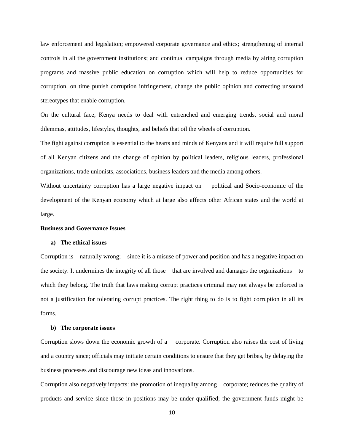law enforcement and legislation; empowered corporate governance and ethics; strengthening of internal controls in all the government institutions; and continual campaigns through media by airing corruption programs and massive public education on corruption which will help to reduce opportunities for corruption, on time punish corruption infringement, change the public opinion and correcting unsound stereotypes that enable corruption.

On the cultural face, Kenya needs to deal with entrenched and emerging trends, social and moral dilemmas, attitudes, lifestyles, thoughts, and beliefs that oil the wheels of corruption.

The fight against corruption is essential to the hearts and minds of Kenyans and it will require full support of all Kenyan citizens and the change of opinion by political leaders, religious leaders, professional organizations, trade unionists, associations, business leaders and the media among others.

Without uncertainty corruption has a large negative impact on political and Socio-economic of the development of the Kenyan economy which at large also affects other African states and the world at large.

#### <span id="page-9-0"></span>**Business and Governance Issues**

#### <span id="page-9-1"></span>**a) The ethical issues**

Corruption is naturally wrong; since it is a misuse of power and position and has a negative impact on the society. It undermines the integrity of all those that are involved and damages the organizations to which they belong. The truth that laws making corrupt practices criminal may not always be enforced is not a justification for tolerating corrupt practices. The right thing to do is to fight corruption in all its forms.

#### <span id="page-9-2"></span>**b) The corporate issues**

Corruption slows down the economic growth of a corporate. Corruption also raises the cost of living and a country since; officials may initiate certain conditions to ensure that they get bribes, by delaying the business processes and discourage new ideas and innovations.

Corruption also negatively impacts: the promotion of inequality among corporate; reduces the quality of products and service since those in positions may be under qualified; the government funds might be